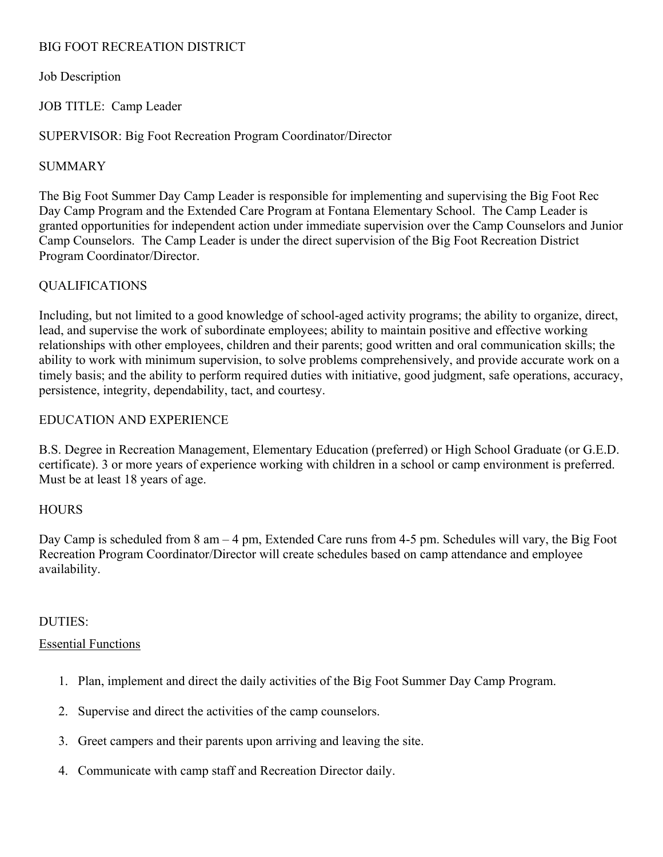# BIG FOOT RECREATION DISTRICT

## Job Description

JOB TITLE: Camp Leader

### SUPERVISOR: Big Foot Recreation Program Coordinator/Director

### SUMMARY

The Big Foot Summer Day Camp Leader is responsible for implementing and supervising the Big Foot Rec Day Camp Program and the Extended Care Program at Fontana Elementary School. The Camp Leader is granted opportunities for independent action under immediate supervision over the Camp Counselors and Junior Camp Counselors. The Camp Leader is under the direct supervision of the Big Foot Recreation District Program Coordinator/Director.

# QUALIFICATIONS

Including, but not limited to a good knowledge of school-aged activity programs; the ability to organize, direct, lead, and supervise the work of subordinate employees; ability to maintain positive and effective working relationships with other employees, children and their parents; good written and oral communication skills; the ability to work with minimum supervision, to solve problems comprehensively, and provide accurate work on a timely basis; and the ability to perform required duties with initiative, good judgment, safe operations, accuracy, persistence, integrity, dependability, tact, and courtesy.

# EDUCATION AND EXPERIENCE

B.S. Degree in Recreation Management, Elementary Education (preferred) or High School Graduate (or G.E.D. certificate). 3 or more years of experience working with children in a school or camp environment is preferred. Must be at least 18 years of age.

### **HOURS**

Day Camp is scheduled from 8 am – 4 pm, Extended Care runs from 4-5 pm. Schedules will vary, the Big Foot Recreation Program Coordinator/Director will create schedules based on camp attendance and employee availability.

### DUTIES:

### Essential Functions

- 1. Plan, implement and direct the daily activities of the Big Foot Summer Day Camp Program.
- 2. Supervise and direct the activities of the camp counselors.
- 3. Greet campers and their parents upon arriving and leaving the site.
- 4. Communicate with camp staff and Recreation Director daily.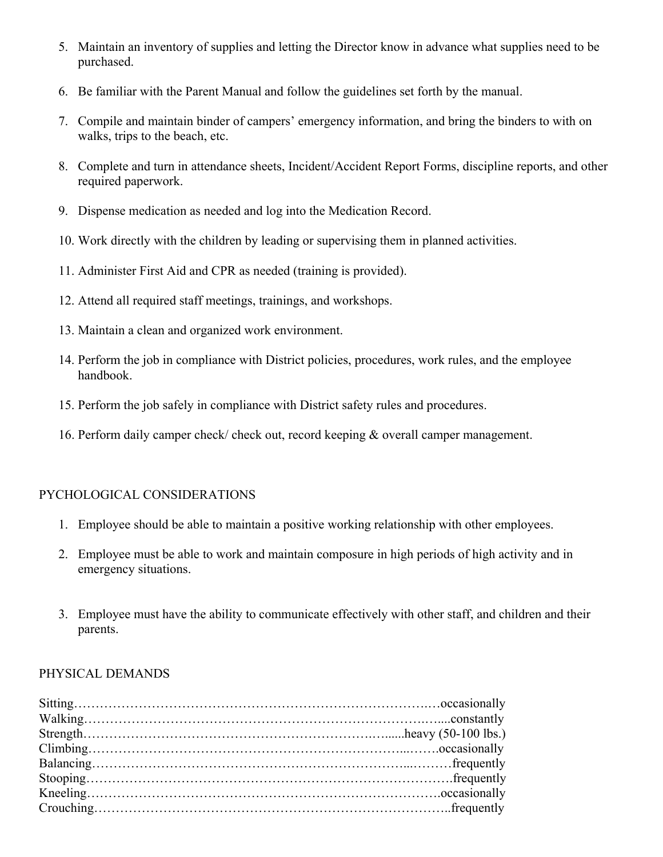- 5. Maintain an inventory of supplies and letting the Director know in advance what supplies need to be purchased.
- 6. Be familiar with the Parent Manual and follow the guidelines set forth by the manual.
- 7. Compile and maintain binder of campers' emergency information, and bring the binders to with on walks, trips to the beach, etc.
- 8. Complete and turn in attendance sheets, Incident/Accident Report Forms, discipline reports, and other required paperwork.
- 9. Dispense medication as needed and log into the Medication Record.
- 10. Work directly with the children by leading or supervising them in planned activities.
- 11. Administer First Aid and CPR as needed (training is provided).
- 12. Attend all required staff meetings, trainings, and workshops.
- 13. Maintain a clean and organized work environment.
- 14. Perform the job in compliance with District policies, procedures, work rules, and the employee handbook.
- 15. Perform the job safely in compliance with District safety rules and procedures.
- 16. Perform daily camper check/ check out, record keeping & overall camper management.

### PYCHOLOGICAL CONSIDERATIONS

- 1. Employee should be able to maintain a positive working relationship with other employees.
- 2. Employee must be able to work and maintain composure in high periods of high activity and in emergency situations.
- 3. Employee must have the ability to communicate effectively with other staff, and children and their parents.

#### PHYSICAL DEMANDS